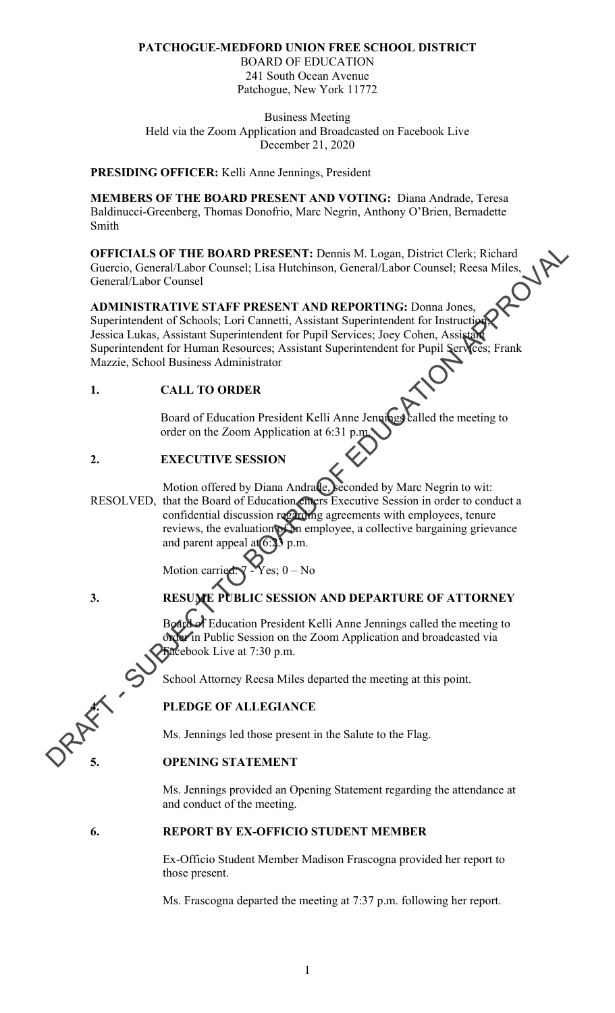#### **PATCHOGUE-MEDFORD UNION FREE SCHOOL DISTRICT**

BOARD OF EDUCATION 241 South Ocean Avenue Patchogue, New York 11772

Business Meeting Held via the Zoom Application and Broadcasted on Facebook Live December 21, 2020

#### **PRESIDING OFFICER:** Kelli Anne Jennings, President

**MEMBERS OF THE BOARD PRESENT AND VOTING:** Diana Andrade, Teresa Baldinucci-Greenberg, Thomas Donofrio, Marc Negrin, Anthony O'Brien, Bernadette Smith

**OFFICIALS OF THE BOARD PRESENT:** Dennis M. Logan, District Clerk; Richard<br>Guercio, General/Labor Counsel; Lisa Hutchinson, General/Labor Counsel; Reesa Miles,<br>**ADMINISTRATIVE STAFF PPESETS**<br>Superintends Guercio, General/Labor Counsel; Lisa Hutchinson, General/Labor Counsel; Reesa Miles, General/Labor Counsel

# **ADMINISTRATIVE STAFF PRESENT AND REPORTING:** Donna Jones, Superintendent of Schools; Lori Cannetti, Assistant Superintendent for Instruction; Jessica Lukas, Assistant Superintendent for Pupil Services; Joey Cohen, Assistant Superintendent for Human Resources; Assistant Superintendent for Pupil Services; Frank Mazzie, School Business Administrator OFFICIALS OF THE BOARD PRESENT: Demain M. Logan, District Clerk; Richard Guercic Labor Counsel ; Lies Hutchinson, General/Labor Counsel ; Richard Guercic Counsel ; Lies Hutchinson, General/Labor Counsel and MINISTRATIVE

#### **1. CALL TO ORDER**

Board of Education President Kelli Anne Jennings called the meeting to order on the Zoom Application at 6:31 p.

### **2. EXECUTIVE SESSION**

Motion offered by Diana Andrade, seconded by Marc Negrin to wit: RESOLVED, that the Board of Education enters Executive Session in order to conduct a confidential discussion regarding agreements with employees, tenure reviews, the evaluation of an employee, a collective bargaining grievance and parent appeal at  $6:33$  p.m.

Motion carried:  $\nabla$  -Yes;  $0$  – No

# **3. RESUME PUBLIC SESSION AND DEPARTURE OF ATTORNEY**

Board of Education President Kelli Anne Jennings called the meeting to order in Public Session on the Zoom Application and broadcasted via Facebook Live at 7:30 p.m.

School Attorney Reesa Miles departed the meeting at this point.

#### **4. PLEDGE OF ALLEGIANCE**

Ms. Jennings led those present in the Salute to the Flag.

#### **5. OPENING STATEMENT**

Ms. Jennings provided an Opening Statement regarding the attendance at and conduct of the meeting.

#### **6. REPORT BY EX-OFFICIO STUDENT MEMBER**

 Ex-Officio Student Member Madison Frascogna provided her report to those present.

Ms. Frascogna departed the meeting at 7:37 p.m. following her report.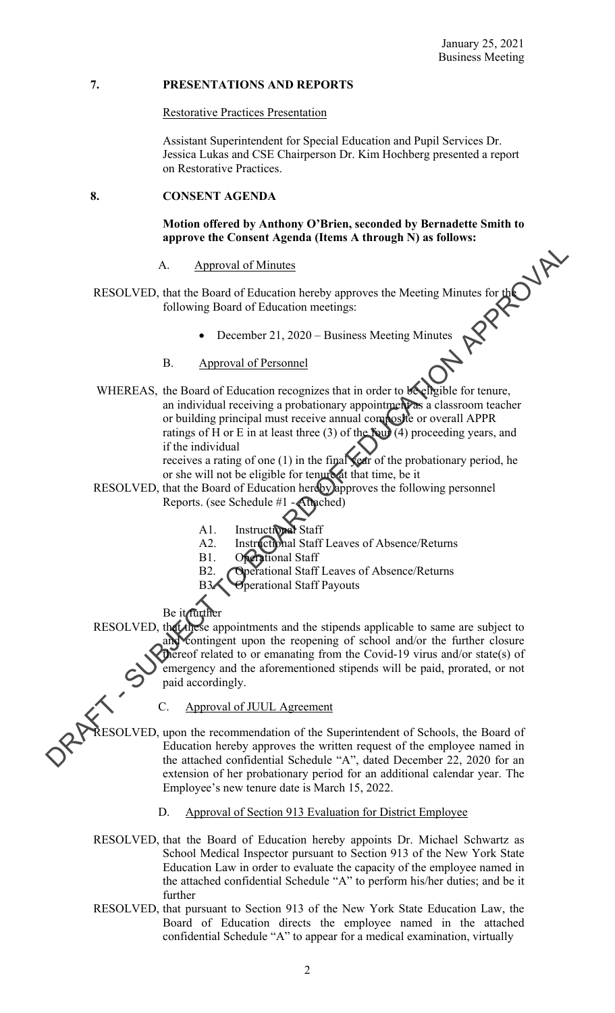#### **7. PRESENTATIONS AND REPORTS**

#### Restorative Practices Presentation

Assistant Superintendent for Special Education and Pupil Services Dr. Jessica Lukas and CSE Chairperson Dr. Kim Hochberg presented a report on Restorative Practices.

#### **8. CONSENT AGENDA**

#### **Motion offered by Anthony O'Brien, seconded by Bernadette Smith to approve the Consent Agenda (Items A through N) as follows:**

#### A. Approval of Minutes

- RESOLVED, that the Board of Education hereby approves the Meeting Minutes for the following Board of Education meetings:
	- December 21, 2020 Business Meeting Minutes
	- B. Approval of Personnel
- WHEREAS, the Board of Education recognizes that in order to be eligible for tenure, an individual receiving a probationary appointment as a classroom teacher or building principal must receive annual composite or overall APPR ratings of H or E in at least three (3) of the four  $(4)$  proceeding years, and if the individual receives a rating of one (1) in the final  $\chi$ ear of the probationary period, he A. Approval of Minutes<br>
RESOLVED, that the Reard of Fiducation hereby approves the Mecting Minutes for the<br>
following Board of Education meetings:<br>
• December 21, 2020 - Business Mecting Minutes<br>
B. Approval of Personnel<br>

or she will not be eligible for tenure at that time, be it

- RESOLVED, that the Board of Education hereby approves the following personnel Reports. (see Schedule #1 - Attached)
	- A1. Instructional Staff
	- A2. Instructional Staff Leaves of Absence/Returns
	- B1. Operational Staff
	- B2. Operational Staff Leaves of Absence/Returns
	- B3. Operational Staff Payouts

Be it further

RESOLVED, that these appointments and the stipends applicable to same are subject to and contingent upon the reopening of school and/or the further closure thereof related to or emanating from the Covid-19 virus and/or state(s) of emergency and the aforementioned stipends will be paid, prorated, or not paid accordingly.

C. Approval of JUUL Agreement

RESOLVED, upon the recommendation of the Superintendent of Schools, the Board of Education hereby approves the written request of the employee named in the attached confidential Schedule "A", dated December 22, 2020 for an extension of her probationary period for an additional calendar year. The Employee's new tenure date is March 15, 2022.

- D. Approval of Section 913 Evaluation for District Employee
- RESOLVED, that the Board of Education hereby appoints Dr. Michael Schwartz as School Medical Inspector pursuant to Section 913 of the New York State Education Law in order to evaluate the capacity of the employee named in the attached confidential Schedule "A" to perform his/her duties; and be it further
- RESOLVED, that pursuant to Section 913 of the New York State Education Law, the Board of Education directs the employee named in the attached confidential Schedule "A" to appear for a medical examination, virtually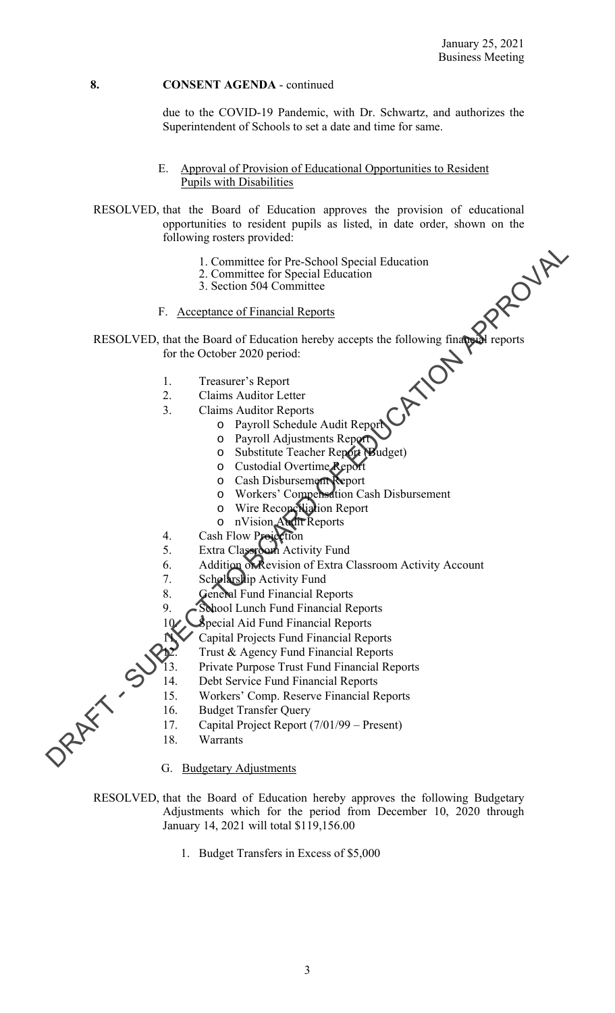due to the COVID-19 Pandemic, with Dr. Schwartz, and authorizes the Superintendent of Schools to set a date and time for same.

E. Approval of Provision of Educational Opportunities to Resident Pupils with Disabilities

RESOLVED, that the Board of Education approves the provision of educational opportunities to resident pupils as listed, in date order, shown on the following rosters provided:

- 1. Committee for Pre-School Special Education
- 2. Committee for Special Education
- 3. Section 504 Committee
- F. Acceptance of Financial Reports

RESOLVED, that the Board of Education hereby accepts the following financial reports for the October 2020 period: 1. Committee for Pre-School Special Education<br>
2. Committee for Special Education<br>
2. Section 304 Committee<br>
F. Acceptance of Financial Reports<br>
F. Acceptance of Financial Reports<br>
RESOLVED, that the Board of Education he

- 1. Treasurer's Report
- 2. Claims Auditor Letter
- 3. Claims Auditor Reports
	- o Payroll Schedule Audit Report
		- o Payroll Adjustments Report
		- o Substitute Teacher Report (Budget)
		- o Custodial Overtime Report
		- o Cash Disbursement Report
		- o Workers' Compensation Cash Disbursement
		- o Wire Reconciliation Report
		- o nVision Audit Reports
- 4. Cash Flow Projection
- 5. Extra Classroom Activity Fund
- 6. Addition **K**evision of Extra Classroom Activity Account
	- 7. Scholarship Activity Fund
	- 8. General Fund Financial Reports
	- 9. School Lunch Fund Financial Reports
	- 10 Special Aid Fund Financial Reports
		- 11. Capital Projects Fund Financial Reports
			- Trust & Agency Fund Financial Reports
	- 13. Private Purpose Trust Fund Financial Reports
	- 14. Debt Service Fund Financial Reports
	- 15. Workers' Comp. Reserve Financial Reports
	- 16. Budget Transfer Query
	- 17. Capital Project Report (7/01/99 Present)
	- 18. Warrants
	- G. Budgetary Adjustments
- RESOLVED, that the Board of Education hereby approves the following Budgetary Adjustments which for the period from December 10, 2020 through January 14, 2021 will total \$119,156.00
	- 1. Budget Transfers in Excess of \$5,000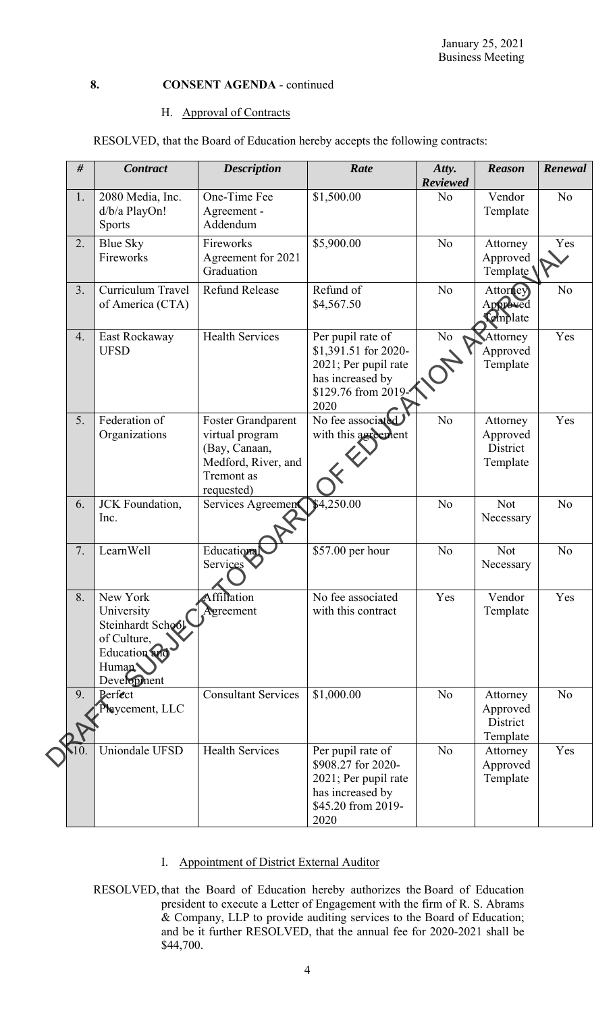#### H. Approval of Contracts

RESOLVED, that the Board of Education hereby accepts the following contracts:

| #  | <b>Contract</b>                | <b>Description</b>         | Rate                                          | Atty.           | <b>Reason</b>        | Renewal        |
|----|--------------------------------|----------------------------|-----------------------------------------------|-----------------|----------------------|----------------|
|    |                                |                            |                                               | <b>Reviewed</b> |                      |                |
| 1. | 2080 Media, Inc.               | One-Time Fee               | \$1,500.00                                    | N <sub>o</sub>  | Vendor               | N <sub>o</sub> |
|    | d/b/a PlayOn!<br><b>Sports</b> | Agreement -<br>Addendum    |                                               |                 | Template             |                |
| 2. |                                | Fireworks                  | \$5,900.00                                    | N <sub>o</sub>  |                      | Yes            |
|    | Blue Sky<br>Fireworks          | Agreement for 2021         |                                               |                 | Attorney<br>Approved |                |
|    |                                | Graduation                 |                                               |                 | Template             |                |
| 3. | Curriculum Travel              | <b>Refund Release</b>      | Refund of                                     | N <sub>o</sub>  | Attorney             | No             |
|    | of America (CTA)               |                            | \$4,567.50                                    |                 | Approved             |                |
|    |                                |                            |                                               |                 | <b>Complate</b>      |                |
| 4. | East Rockaway                  | <b>Health Services</b>     | Per pupil rate of                             | $\rm No$        | Attorney             | Yes            |
|    | <b>UFSD</b>                    |                            | \$1,391.51 for 2020-                          |                 | Approved             |                |
|    |                                |                            | 2021; Per pupil rate                          |                 | Template             |                |
|    |                                |                            | has increased by                              |                 |                      |                |
|    |                                |                            | \$129.76 from 2019-                           |                 |                      |                |
| 5. | Federation of                  | <b>Foster Grandparent</b>  | 2020<br>$\overline{\text{No}}$ fee associated | N <sub>o</sub>  | Attorney             | Yes            |
|    | Organizations                  | virtual program            | with this agreement                           |                 | Approved             |                |
|    |                                | (Bay, Canaan,              |                                               |                 | District             |                |
|    |                                | Medford, River, and        |                                               |                 | Template             |                |
|    |                                | Tremont as                 |                                               |                 |                      |                |
|    |                                | requested)                 |                                               |                 |                      |                |
| 6. | JCK Foundation,                | Services Agreemen          | \$4,250.00                                    | No              | Not                  | N <sub>o</sub> |
|    | Inc.                           |                            |                                               |                 | Necessary            |                |
|    |                                |                            |                                               |                 |                      |                |
| 7. | LearnWell                      | Educational<br>Services    | \$57.00 per hour                              | N <sub>o</sub>  | <b>Not</b>           | N <sub>o</sub> |
|    |                                |                            |                                               |                 | Necessary            |                |
| 8. | New York                       | Affiliation                | No fee associated                             | Yes             | Vendor               | Yes            |
|    | University                     | Agreement                  | with this contract                            |                 | Template             |                |
|    | Steinhardt School              |                            |                                               |                 |                      |                |
|    | of Culture,                    |                            |                                               |                 |                      |                |
|    | <b>Education</b>               |                            |                                               |                 |                      |                |
|    | Human                          |                            |                                               |                 |                      |                |
|    | Development                    |                            |                                               |                 |                      |                |
| 9. | Perfect<br>Playcement, LLC     | <b>Consultant Services</b> | \$1,000.00                                    | N <sub>o</sub>  | Attorney<br>Approved | N <sub>o</sub> |
|    |                                |                            |                                               |                 | District             |                |
|    |                                |                            |                                               |                 | Template             |                |
|    | Uniondale UFSD                 | <b>Health Services</b>     | Per pupil rate of                             | No              | Attorney             | Yes            |
|    |                                |                            | \$908.27 for 2020-                            |                 | Approved             |                |
|    |                                |                            | 2021; Per pupil rate                          |                 | Template             |                |
|    |                                |                            | has increased by                              |                 |                      |                |
|    |                                |                            | \$45.20 from 2019-                            |                 |                      |                |
|    |                                |                            | 2020                                          |                 |                      |                |

- I. Appointment of District External Auditor
- RESOLVED, that the Board of Education hereby authorizes the Board of Education president to execute a Letter of Engagement with the firm of R. S. Abrams & Company, LLP to provide auditing services to the Board of Education; and be it further RESOLVED, that the annual fee for 2020-2021 shall be \$44,700.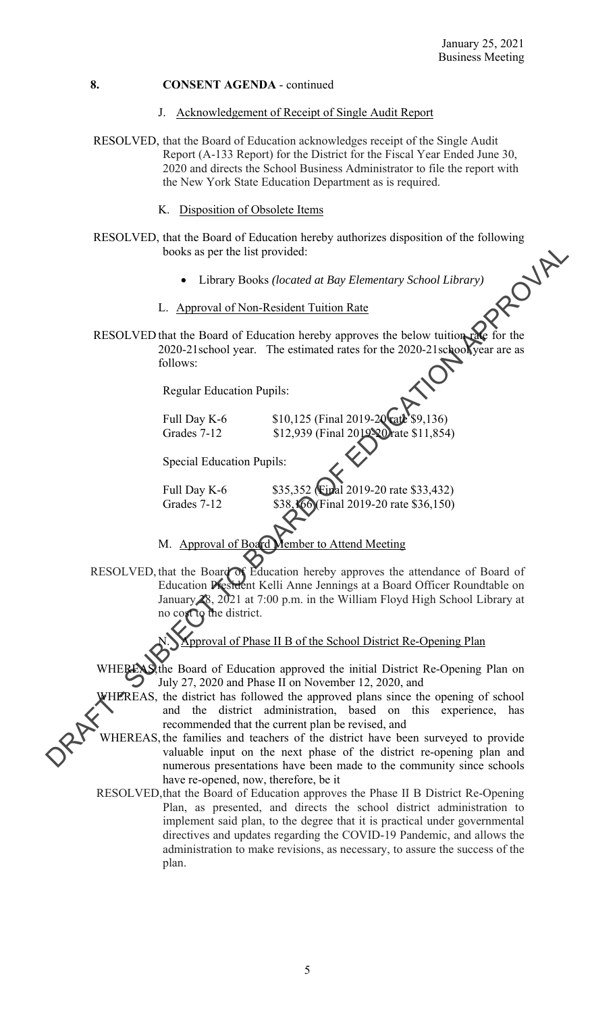- J. Acknowledgement of Receipt of Single Audit Report
- RESOLVED, that the Board of Education acknowledges receipt of the Single Audit Report (A-133 Report) for the District for the Fiscal Year Ended June 30, 2020 and directs the School Business Administrator to file the report with the New York State Education Department as is required.
	- K. Disposition of Obsolete Items
- RESOLVED, that the Board of Education hereby authorizes disposition of the following<br>books as per the list provided:<br>• Library Books (located at Bay Elementary School Library)<br>L. Approval of Non-Resident T books as per the list provided:
	- Library Books *(located at Bay Elementary School Library)*
	- L. Approval of Non-Resident Tuition Rate
- RESOLVED that the Board of Education hereby approves the below tuition 2020-21school year. The estimated rates for the 2020-21school year are as follows:

Regular Education Pupils:

Full Day K-6  $$10,125$  (Final 2019-20 rate \$9,136) Grades 7-12 \$12,939 (Final 2019-20) rate \$11,854)

Special Education Pupils:

Full Day K-6 \$35,352 (Final 2019-20 rate \$33,432) Grades 7-12 \$38,166 (Final 2019-20 rate \$36,150)

- M. Approval of Board Member to Attend Meeting
- RESOLVED, that the Board of Education hereby approves the attendance of Board of Education President Kelli Anne Jennings at a Board Officer Roundtable on January 28, 2021 at 7:00 p.m. in the William Floyd High School Library at **Ref**ormed the district. books as per the list provided:<br>
• Library Books (located at Bay Elementary School Library)<br>
L. <u>Approval of Non-Resident Tuition Rate</u><br>
RESOLVED that the Board of Education Persion perceptives the below unito  $\frac{1}{2}$ <br>

proval of Phase II B of the School District Re-Opening Plan

WHEREAS, the Board of Education approved the initial District Re-Opening Plan on July 27, 2020 and Phase II on November 12, 2020, and

HEREAS, the district has followed the approved plans since the opening of school and the district administration, based on this experience, has recommended that the current plan be revised, and

 WHEREAS, the families and teachers of the district have been surveyed to provide valuable input on the next phase of the district re-opening plan and numerous presentations have been made to the community since schools have re-opened, now, therefore, be it

RESOLVED, that the Board of Education approves the Phase II B District Re-Opening Plan, as presented, and directs the school district administration to implement said plan, to the degree that it is practical under governmental directives and updates regarding the COVID-19 Pandemic, and allows the administration to make revisions, as necessary, to assure the success of the plan.

5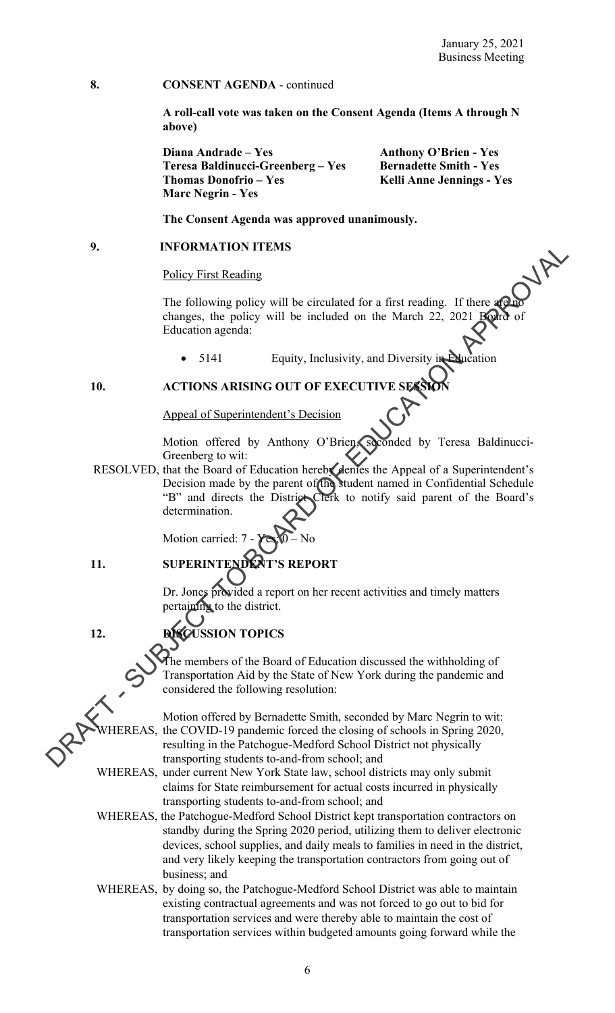**A roll-call vote was taken on the Consent Agenda (Items A through N above)** 

**Diana Andrade – Yes Anthony O'Brien - Yes** Teresa Baldinucci-Greenberg – Yes Bernadette Smith - Yes Thomas Donofrio – Yes **Kelli Anne Jennings - Yes Marc Negrin - Yes** 

 **The Consent Agenda was approved unanimously.** 

#### **9. INFORMATION ITEMS**

#### Policy First Reading

The following policy will be circulated for a first reading. If there are no changes, the policy will be included on the March 22, 2021 Education agenda:

• 5141 Equity, Inclusivity, and Diversity in Education

**10. ACTIONS ARISING OUT OF EXECUT** 

Appeal of Superintendent's Decision

Motion offered by Anthony O'Brien, seconded by Teresa Baldinucci-Greenberg to wit:

RESOLVED, that the Board of Education hereby denies the Appeal of a Superintendent's Decision made by the parent of the student named in Confidential Schedule "B" and directs the District Clerk to notify said parent of the Board's determination. 9. INFORMATION FIEMS<br>
Policy First Reading<br>
The following policy will be included on the March 22, 2021 **Reference**<br>
Characteristics the policy will be included on the March 22, 2021 **Reference**<br>
Characteristics and Exper

Motion carried:

 $\overline{a}$ 

# **11. SUPERINTENDENT'S REPORT**

Dr. Jones provided a report on her recent activities and timely matters pertaining to the district.

# **12. DISCUSSION TOPICS**

The members of the Board of Education discussed the withholding of Transportation Aid by the State of New York during the pandemic and considered the following resolution:

Motion offered by Bernadette Smith, seconded by Marc Negrin to wit: HEREAS, the COVID-19 pandemic forced the closing of schools in Spring 2020, resulting in the Patchogue-Medford School District not physically transporting students to-and-from school; and

WHEREAS, under current New York State law, school districts may only submit claims for State reimbursement for actual costs incurred in physically transporting students to-and-from school; and

WHEREAS, the Patchogue-Medford School District kept transportation contractors on standby during the Spring 2020 period, utilizing them to deliver electronic devices, school supplies, and daily meals to families in need in the district, and very likely keeping the transportation contractors from going out of business; and

WHEREAS, by doing so, the Patchogue-Medford School District was able to maintain existing contractual agreements and was not forced to go out to bid for transportation services and were thereby able to maintain the cost of transportation services within budgeted amounts going forward while the